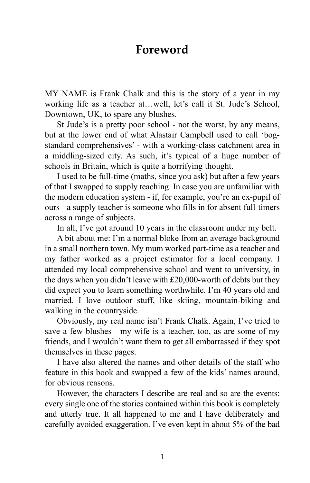# **Foreword**

MY NAME is Frank Chalk and this is the story of a year in my working life as a teacher at…well, let's call it St. Jude's School, Downtown, UK, to spare any blushes.

St Jude's is a pretty poor school - not the worst, by any means, but at the lower end of what Alastair Campbell used to call 'bogstandard comprehensives' - with a working-class catchment area in a middling-sized city. As such, it's typical of a huge number of schools in Britain, which is quite a horrifying thought.

I used to be full-time (maths, since you ask) but after a few years of that I swapped to supply teaching. In case you are unfamiliar with the modern education system - if, for example, you're an ex-pupil of ours - a supply teacher is someone who fills in for absent full-timers across a range of subjects.

In all, I've got around 10 years in the classroom under my belt.

A bit about me: I'm a normal bloke from an average background in a small northern town. My mum worked part-time as a teacher and my father worked as a project estimator for a local company. I attended my local comprehensive school and went to university, in the days when you didn't leave with £20,000-worth of debts but they did expect you to learn something worthwhile. I'm 40 years old and married. I love outdoor stuff, like skiing, mountain-biking and walking in the countryside.

Obviously, my real name isn't Frank Chalk. Again, I've tried to save a few blushes - my wife is a teacher, too, as are some of my friends, and I wouldn't want them to get all embarrassed if they spot themselves in these pages.

I have also altered the names and other details of the staff who feature in this book and swapped a few of the kids' names around, for obvious reasons.

However, the characters I describe are real and so are the events: every single one of the stories contained within this book is completely and utterly true. It all happened to me and I have deliberately and carefully avoided exaggeration. I've even kept in about 5% of the bad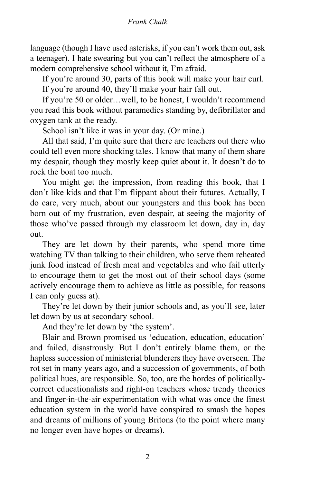language (though I have used asterisks; if you can't work them out, ask a teenager). I hate swearing but you can't reflect the atmosphere of a modern comprehensive school without it, I'm afraid.

If you're around 30, parts of this book will make your hair curl.

If you're around 40, they'll make your hair fall out.

If you're 50 or older…well, to be honest, I wouldn't recommend you read this book without paramedics standing by, defibrillator and oxygen tank at the ready.

School isn't like it was in your day. (Or mine.)

All that said, I'm quite sure that there are teachers out there who could tell even more shocking tales. I know that many of them share my despair, though they mostly keep quiet about it. It doesn't do to rock the boat too much.

You might get the impression, from reading this book, that I don't like kids and that I'm flippant about their futures. Actually, I do care, very much, about our youngsters and this book has been born out of my frustration, even despair, at seeing the majority of those who've passed through my classroom let down, day in, day out.

They are let down by their parents, who spend more time watching TV than talking to their children, who serve them reheated junk food instead of fresh meat and vegetables and who fail utterly to encourage them to get the most out of their school days (some actively encourage them to achieve as little as possible, for reasons I can only guess at).

They're let down by their junior schools and, as you'll see, later let down by us at secondary school.

And they're let down by 'the system'.

Blair and Brown promised us 'education, education, education' and failed, disastrously. But I don't entirely blame them, or the hapless succession of ministerial blunderers they have overseen. The rot set in many years ago, and a succession of governments, of both political hues, are responsible. So, too, are the hordes of politicallycorrect educationalists and right-on teachers whose trendy theories and finger-in-the-air experimentation with what was once the finest education system in the world have conspired to smash the hopes and dreams of millions of young Britons (to the point where many no longer even have hopes or dreams).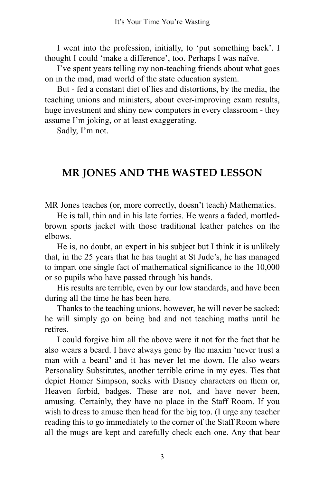I went into the profession, initially, to 'put something back'. I thought I could 'make a difference', too. Perhaps I was naïve.

I've spent years telling my non-teaching friends about what goes on in the mad, mad world of the state education system.

But - fed a constant diet of lies and distortions, by the media, the teaching unions and ministers, about ever-improving exam results, huge investment and shiny new computers in every classroom - they assume I'm joking, or at least exaggerating.

Sadly, I'm not.

## **MR JONES AND THE WASTED LESSON**

MR Jones teaches (or, more correctly, doesn't teach) Mathematics.

He is tall, thin and in his late forties. He wears a faded, mottledbrown sports jacket with those traditional leather patches on the elbows.

He is, no doubt, an expert in his subject but I think it is unlikely that, in the 25 years that he has taught at St Jude's, he has managed to impart one single fact of mathematical significance to the 10,000 or so pupils who have passed through his hands.

His results are terrible, even by our low standards, and have been during all the time he has been here.

Thanks to the teaching unions, however, he will never be sacked; he will simply go on being bad and not teaching maths until he retires.

I could forgive him all the above were it not for the fact that he also wears a beard. I have always gone by the maxim 'never trust a man with a beard' and it has never let me down. He also wears Personality Substitutes, another terrible crime in my eyes. Ties that depict Homer Simpson, socks with Disney characters on them or, Heaven forbid, badges. These are not, and have never been, amusing. Certainly, they have no place in the Staff Room. If you wish to dress to amuse then head for the big top. (I urge any teacher reading this to go immediately to the corner of the Staff Room where all the mugs are kept and carefully check each one. Any that bear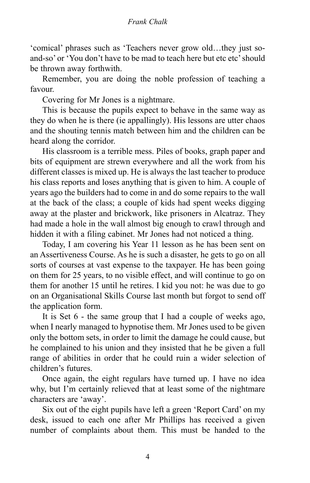'comical' phrases such as 'Teachers never grow old…they just soand-so' or 'You don't have to be mad to teach here but etc etc' should be thrown away forthwith.

Remember, you are doing the noble profession of teaching a favour.

Covering for Mr Jones is a nightmare.

This is because the pupils expect to behave in the same way as they do when he is there (ie appallingly). His lessons are utter chaos and the shouting tennis match between him and the children can be heard along the corridor.

His classroom is a terrible mess. Piles of books, graph paper and bits of equipment are strewn everywhere and all the work from his different classes is mixed up. He is always the last teacher to produce his class reports and loses anything that is given to him. A couple of years ago the builders had to come in and do some repairs to the wall at the back of the class; a couple of kids had spent weeks digging away at the plaster and brickwork, like prisoners in Alcatraz. They had made a hole in the wall almost big enough to crawl through and hidden it with a filing cabinet. Mr Jones had not noticed a thing.

Today, I am covering his Year 11 lesson as he has been sent on an Assertiveness Course. As he is such a disaster, he gets to go on all sorts of courses at vast expense to the taxpayer. He has been going on them for 25 years, to no visible effect, and will continue to go on them for another 15 until he retires. I kid you not: he was due to go on an Organisational Skills Course last month but forgot to send off the application form.

It is Set 6 - the same group that I had a couple of weeks ago, when I nearly managed to hypnotise them. Mr Jones used to be given only the bottom sets, in order to limit the damage he could cause, but he complained to his union and they insisted that he be given a full range of abilities in order that he could ruin a wider selection of children's futures.

Once again, the eight regulars have turned up. I have no idea why, but I'm certainly relieved that at least some of the nightmare characters are 'away'.

Six out of the eight pupils have left a green 'Report Card' on my desk, issued to each one after Mr Phillips has received a given number of complaints about them. This must be handed to the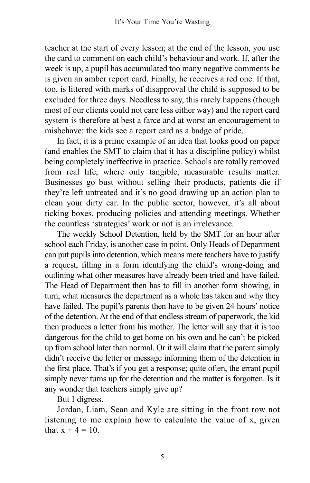teacher at the start of every lesson; at the end of the lesson, you use the card to comment on each child's behaviour and work. If, after the week is up, a pupil has accumulated too many negative comments he is given an amber report card. Finally, he receives a red one. If that, too, is littered with marks of disapproval the child is supposed to be excluded for three days. Needless to say, this rarely happens (though most of our clients could not care less either way) and the report card system is therefore at best a farce and at worst an encouragement to misbehave: the kids see a report card as a badge of pride.

In fact, it is a prime example of an idea that looks good on paper (and enables the SMT to claim that it has a discipline policy) whilst being completely ineffective in practice. Schools are totally removed from real life, where only tangible, measurable results matter. Businesses go bust without selling their products, patients die if they're left untreated and it's no good drawing up an action plan to clean your dirty car. In the public sector, however, it's all about ticking boxes, producing policies and attending meetings. Whether the countless 'strategies' work or not is an irrelevance.

The weekly School Detention, held by the SMT for an hour after school each Friday, is another case in point. Only Heads of Department can put pupils into detention, which means mere teachers have to justify a request, filling in a form identifying the child's wrong-doing and outlining what other measures have already been tried and have failed. The Head of Department then has to fill in another form showing, in turn, what measures the department as a whole has taken and why they have failed. The pupil's parents then have to be given 24 hours' notice of the detention. At the end of that endless stream of paperwork, the kid then produces a letter from his mother. The letter will say that it is too dangerous for the child to get home on his own and he can't be picked up from school later than normal. Or it will claim that the parent simply didn't receive the letter or message informing them of the detention in the first place. That's if you get a response; quite often, the errant pupil simply never turns up for the detention and the matter is forgotten. Is it any wonder that teachers simply give up?

But I digress.

Jordan, Liam, Sean and Kyle are sitting in the front row not listening to me explain how to calculate the value of x, given that  $x + 4 = 10$ .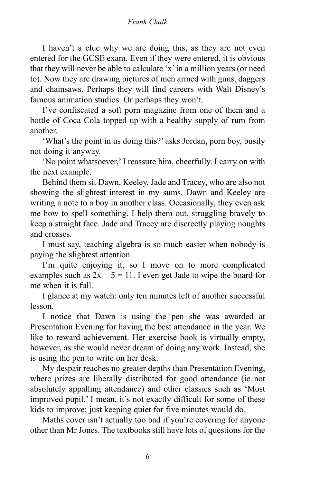#### *Frank Chalk*

I haven't a clue why we are doing this, as they are not even entered for the GCSE exam. Even if they were entered, it is obvious that they will never be able to calculate 'x' in a million years (or need to). Now they are drawing pictures of men armed with guns, daggers and chainsaws. Perhaps they will find careers with Walt Disney's famous animation studios. Or perhaps they won't.

I've confiscated a soft porn magazine from one of them and a bottle of Coca Cola topped up with a healthy supply of rum from another.

'What's the point in us doing this?' asks Jordan, porn boy, busily not doing it anyway.

'No point whatsoever,' I reassure him, cheerfully. I carry on with the next example.

Behind them sit Dawn, Keeley, Jade and Tracey, who are also not showing the slightest interest in my sums. Dawn and Keeley are writing a note to a boy in another class. Occasionally, they even ask me how to spell something. I help them out, struggling bravely to keep a straight face. Jade and Tracey are discreetly playing noughts and crosses.

I must say, teaching algebra is so much easier when nobody is paying the slightest attention.

I'm quite enjoying it, so I move on to more complicated examples such as  $2x + 5 = 11$ . I even get Jade to wipe the board for me when it is full.

I glance at my watch: only ten minutes left of another successful lesson.

I notice that Dawn is using the pen she was awarded at Presentation Evening for having the best attendance in the year. We like to reward achievement. Her exercise book is virtually empty, however, as she would never dream of doing any work. Instead, she is using the pen to write on her desk.

My despair reaches no greater depths than Presentation Evening, where prizes are liberally distributed for good attendance (ie not absolutely appalling attendance) and other classics such as 'Most improved pupil.' I mean, it's not exactly difficult for some of these kids to improve; just keeping quiet for five minutes would do.

Maths cover isn't actually too bad if you're covering for anyone other than Mr Jones. The textbooks still have lots of questions for the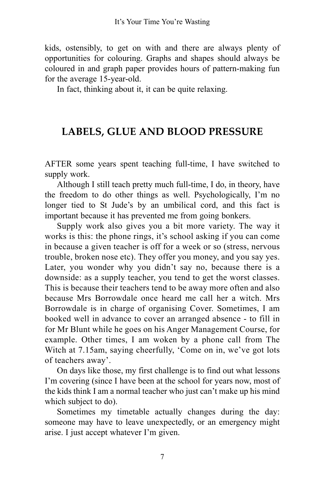kids, ostensibly, to get on with and there are always plenty of opportunities for colouring. Graphs and shapes should always be coloured in and graph paper provides hours of pattern-making fun for the average 15-year-old.

In fact, thinking about it, it can be quite relaxing.

### **LABELS, GLUE AND BLOOD PRESSURE**

AFTER some years spent teaching full-time, I have switched to supply work.

Although I still teach pretty much full-time, I do, in theory, have the freedom to do other things as well. Psychologically, I'm no longer tied to St Jude's by an umbilical cord, and this fact is important because it has prevented me from going bonkers.

Supply work also gives you a bit more variety. The way it works is this: the phone rings, it's school asking if you can come in because a given teacher is off for a week or so (stress, nervous trouble, broken nose etc). They offer you money, and you say yes. Later, you wonder why you didn't say no, because there is a downside: as a supply teacher, you tend to get the worst classes. This is because their teachers tend to be away more often and also because Mrs Borrowdale once heard me call her a witch. Mrs Borrowdale is in charge of organising Cover. Sometimes, I am booked well in advance to cover an arranged absence - to fill in for Mr Blunt while he goes on his Anger Management Course, for example. Other times, I am woken by a phone call from The Witch at 7.15am, saying cheerfully, 'Come on in, we've got lots of teachers away'.

On days like those, my first challenge is to find out what lessons I'm covering (since I have been at the school for years now, most of the kids think I am a normal teacher who just can't make up his mind which subject to do).

Sometimes my timetable actually changes during the day: someone may have to leave unexpectedly, or an emergency might arise. I just accept whatever I'm given.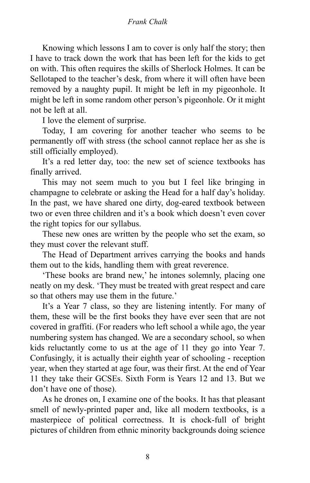Knowing which lessons I am to cover is only half the story; then I have to track down the work that has been left for the kids to get on with. This often requires the skills of Sherlock Holmes. It can be Sellotaped to the teacher's desk, from where it will often have been removed by a naughty pupil. It might be left in my pigeonhole. It might be left in some random other person's pigeonhole. Or it might not be left at all.

I love the element of surprise.

Today, I am covering for another teacher who seems to be permanently off with stress (the school cannot replace her as she is still officially employed).

It's a red letter day, too: the new set of science textbooks has finally arrived.

This may not seem much to you but I feel like bringing in champagne to celebrate or asking the Head for a half day's holiday. In the past, we have shared one dirty, dog-eared textbook between two or even three children and it's a book which doesn't even cover the right topics for our syllabus.

These new ones are written by the people who set the exam, so they must cover the relevant stuff.

The Head of Department arrives carrying the books and hands them out to the kids, handling them with great reverence.

'These books are brand new,' he intones solemnly, placing one neatly on my desk. 'They must be treated with great respect and care so that others may use them in the future.'

It's a Year 7 class, so they are listening intently. For many of them, these will be the first books they have ever seen that are not covered in graffiti. (For readers who left school a while ago, the year numbering system has changed. We are a secondary school, so when kids reluctantly come to us at the age of 11 they go into Year 7. Confusingly, it is actually their eighth year of schooling - reception year, when they started at age four, was their first. At the end of Year 11 they take their GCSEs. Sixth Form is Years 12 and 13. But we don't have one of those).

As he drones on, I examine one of the books. It has that pleasant smell of newly-printed paper and, like all modern textbooks, is a masterpiece of political correctness. It is chock-full of bright pictures of children from ethnic minority backgrounds doing science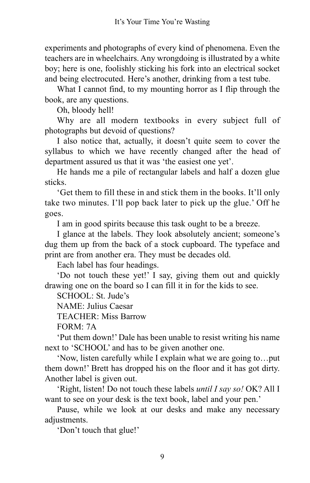experiments and photographs of every kind of phenomena. Even the teachers are in wheelchairs. Any wrongdoing is illustrated by a white boy; here is one, foolishly sticking his fork into an electrical socket and being electrocuted. Here's another, drinking from a test tube.

What I cannot find, to my mounting horror as I flip through the book, are any questions.

Oh, bloody hell!

Why are all modern textbooks in every subject full of photographs but devoid of questions?

I also notice that, actually, it doesn't quite seem to cover the syllabus to which we have recently changed after the head of department assured us that it was 'the easiest one yet'.

He hands me a pile of rectangular labels and half a dozen glue sticks.

'Get them to fill these in and stick them in the books. It'll only take two minutes. I'll pop back later to pick up the glue.' Off he goes.

I am in good spirits because this task ought to be a breeze.

I glance at the labels. They look absolutely ancient; someone's dug them up from the back of a stock cupboard. The typeface and print are from another era. They must be decades old.

Each label has four headings.

'Do not touch these yet!' I say, giving them out and quickly drawing one on the board so I can fill it in for the kids to see.

SCHOOL: St. Jude's

NAME: Julius Caesar

TEACHER: Miss Barrow

FORM: 7A

'Put them down!' Dale has been unable to resist writing his name next to 'SCHOOL' and has to be given another one.

'Now, listen carefully while I explain what we are going to…put them down!' Brett has dropped his on the floor and it has got dirty. Another label is given out.

'Right, listen! Do not touch these labels *until I say so!* OK? All I want to see on your desk is the text book, label and your pen.'

Pause, while we look at our desks and make any necessary adjustments.

'Don't touch that glue!'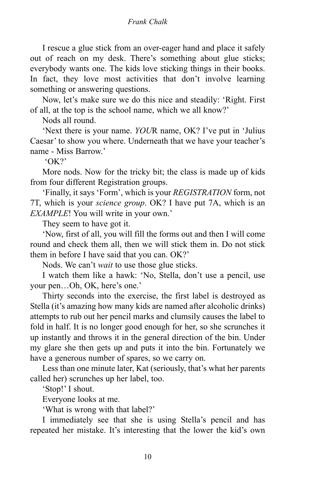I rescue a glue stick from an over-eager hand and place it safely out of reach on my desk. There's something about glue sticks; everybody wants one. The kids love sticking things in their books. In fact, they love most activities that don't involve learning something or answering questions.

Now, let's make sure we do this nice and steadily: 'Right. First of all, at the top is the school name, which we all know?'

Nods all round.

'Next there is your name. *YOU*R name, OK? I've put in 'Julius Caesar' to show you where. Underneath that we have your teacher's name - Miss Barrow.'

'OK?'

More nods. Now for the tricky bit; the class is made up of kids from four different Registration groups.

'Finally, it says 'Form', which is your *REGISTRATION* form, not 7T, which is your *science group*. OK? I have put 7A, which is an *EXAMPLE*! You will write in your own.'

They seem to have got it.

'Now, first of all, you will fill the forms out and then I will come round and check them all, then we will stick them in. Do not stick them in before I have said that you can. OK?'

Nods. We can't *wait* to use those glue sticks.

I watch them like a hawk: 'No, Stella, don't use a pencil, use your pen…Oh, OK, here's one.'

Thirty seconds into the exercise, the first label is destroyed as Stella (it's amazing how many kids are named after alcoholic drinks) attempts to rub out her pencil marks and clumsily causes the label to fold in half. It is no longer good enough for her, so she scrunches it up instantly and throws it in the general direction of the bin. Under my glare she then gets up and puts it into the bin. Fortunately we have a generous number of spares, so we carry on.

Less than one minute later, Kat (seriously, that's what her parents called her) scrunches up her label, too.

'Stop!' I shout.

Everyone looks at me.

'What is wrong with that label?'

I immediately see that she is using Stella's pencil and has repeated her mistake. It's interesting that the lower the kid's own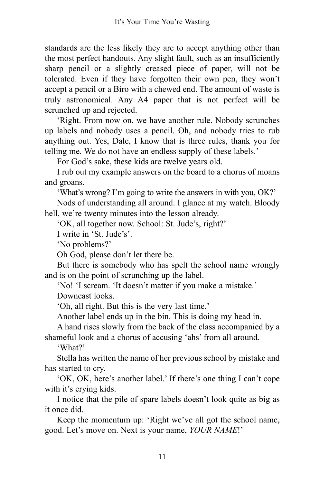standards are the less likely they are to accept anything other than the most perfect handouts. Any slight fault, such as an insufficiently sharp pencil or a slightly creased piece of paper, will not be tolerated. Even if they have forgotten their own pen, they won't accept a pencil or a Biro with a chewed end. The amount of waste is truly astronomical. Any A4 paper that is not perfect will be scrunched up and rejected.

'Right. From now on, we have another rule. Nobody scrunches up labels and nobody uses a pencil. Oh, and nobody tries to rub anything out. Yes, Dale, I know that is three rules, thank you for telling me. We do not have an endless supply of these labels.'

For God's sake, these kids are twelve years old.

I rub out my example answers on the board to a chorus of moans and groans.

'What's wrong? I'm going to write the answers in with you, OK?'

Nods of understanding all around. I glance at my watch. Bloody hell, we're twenty minutes into the lesson already.

'OK, all together now. School: St. Jude's, right?'

I write in 'St. Jude's'.

'No problems?'

Oh God, please don't let there be.

But there is somebody who has spelt the school name wrongly and is on the point of scrunching up the label.

'No! 'I scream. 'It doesn't matter if you make a mistake.' Downcast looks.

'Oh, all right. But this is the very last time.'

Another label ends up in the bin. This is doing my head in.

A hand rises slowly from the back of the class accompanied by a shameful look and a chorus of accusing 'ahs' from all around.

'What?'

Stella has written the name of her previous school by mistake and has started to cry.

'OK, OK, here's another label.' If there's one thing I can't cope with it's crying kids.

I notice that the pile of spare labels doesn't look quite as big as it once did.

Keep the momentum up: 'Right we've all got the school name, good. Let's move on. Next is your name, *YOUR NAME*!'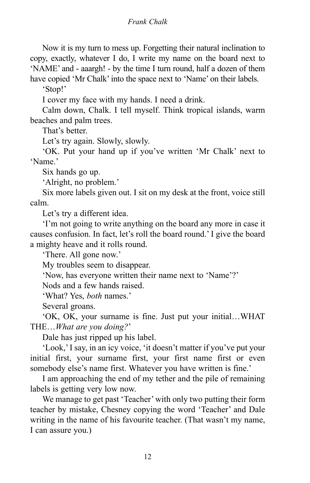Now it is my turn to mess up. Forgetting their natural inclination to copy, exactly, whatever I do, I write my name on the board next to 'NAME' and - aaargh! - by the time I turn round, half a dozen of them have copied 'Mr Chalk' into the space next to 'Name' on their labels.

'Stop!'

I cover my face with my hands. I need a drink.

Calm down, Chalk. I tell myself. Think tropical islands, warm beaches and palm trees.

That's better.

Let's try again. Slowly, slowly.

'OK. Put your hand up if you've written 'Mr Chalk' next to 'Name.'

Six hands go up.

'Alright, no problem.'

Six more labels given out. I sit on my desk at the front, voice still calm.

Let's try a different idea.

'I'm not going to write anything on the board any more in case it causes confusion. In fact, let's roll the board round.' I give the board a mighty heave and it rolls round.

'There. All gone now.'

My troubles seem to disappear.

'Now, has everyone written their name next to 'Name'?'

Nods and a few hands raised.

'What? Yes, *both* names.'

Several groans.

'OK, OK, your surname is fine. Just put your initial…WHAT THE…*What are you doing?*'

Dale has just ripped up his label.

'Look,' I say, in an icy voice, 'it doesn't matter if you've put your initial first, your surname first, your first name first or even somebody else's name first. Whatever you have written is fine.'

I am approaching the end of my tether and the pile of remaining labels is getting very low now.

We manage to get past 'Teacher' with only two putting their form teacher by mistake, Chesney copying the word 'Teacher' and Dale writing in the name of his favourite teacher. (That wasn't my name, I can assure you.)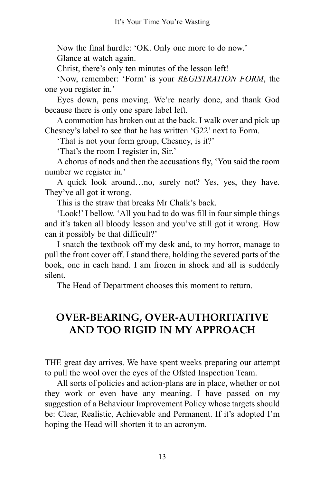Now the final hurdle: 'OK. Only one more to do now.' Glance at watch again.

Christ, there's only ten minutes of the lesson left!

'Now, remember: 'Form' is your *REGISTRATION FORM*, the one you register in.'

Eyes down, pens moving. We're nearly done, and thank God because there is only one spare label left.

A commotion has broken out at the back. I walk over and pick up Chesney's label to see that he has written 'G22' next to Form.

'That is not your form group, Chesney, is it?'

'That's the room I register in, Sir.'

A chorus of nods and then the accusations fly, 'You said the room number we register in.'

A quick look around…no, surely not? Yes, yes, they have. They've all got it wrong.

This is the straw that breaks Mr Chalk's back.

'Look!' I bellow. 'All you had to do was fill in four simple things and it's taken all bloody lesson and you've still got it wrong. How can it possibly be that difficult?'

I snatch the textbook off my desk and, to my horror, manage to pull the front cover off. I stand there, holding the severed parts of the book, one in each hand. I am frozen in shock and all is suddenly silent.

The Head of Department chooses this moment to return.

# **OVER-BEARING, OVER-AUTHORITATIVE AND TOO RIGID IN MY APPROACH**

THE great day arrives. We have spent weeks preparing our attempt to pull the wool over the eyes of the Ofsted Inspection Team.

All sorts of policies and action-plans are in place, whether or not they work or even have any meaning. I have passed on my suggestion of a Behaviour Improvement Policy whose targets should be: Clear, Realistic, Achievable and Permanent. If it's adopted I'm hoping the Head will shorten it to an acronym.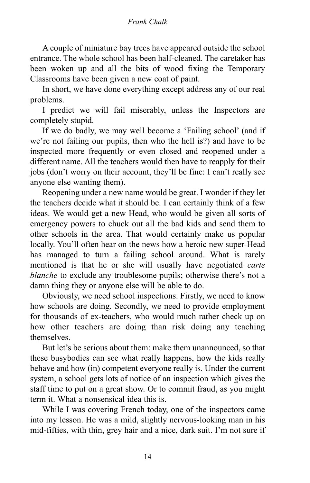### *Frank Chalk*

A couple of miniature bay trees have appeared outside the school entrance. The whole school has been half-cleaned. The caretaker has been woken up and all the bits of wood fixing the Temporary Classrooms have been given a new coat of paint.

In short, we have done everything except address any of our real problems.

I predict we will fail miserably, unless the Inspectors are completely stupid.

If we do badly, we may well become a 'Failing school' (and if we're not failing our pupils, then who the hell is?) and have to be inspected more frequently or even closed and reopened under a different name. All the teachers would then have to reapply for their jobs (don't worry on their account, they'll be fine: I can't really see anyone else wanting them).

Reopening under a new name would be great. I wonder if they let the teachers decide what it should be. I can certainly think of a few ideas. We would get a new Head, who would be given all sorts of emergency powers to chuck out all the bad kids and send them to other schools in the area. That would certainly make us popular locally. You'll often hear on the news how a heroic new super-Head has managed to turn a failing school around. What is rarely mentioned is that he or she will usually have negotiated *carte blanche* to exclude any troublesome pupils; otherwise there's not a damn thing they or anyone else will be able to do.

Obviously, we need school inspections. Firstly, we need to know how schools are doing. Secondly, we need to provide employment for thousands of ex-teachers, who would much rather check up on how other teachers are doing than risk doing any teaching themselves.

But let's be serious about them: make them unannounced, so that these busybodies can see what really happens, how the kids really behave and how (in) competent everyone really is. Under the current system, a school gets lots of notice of an inspection which gives the staff time to put on a great show. Or to commit fraud, as you might term it. What a nonsensical idea this is.

While I was covering French today, one of the inspectors came into my lesson. He was a mild, slightly nervous-looking man in his mid-fifties, with thin, grey hair and a nice, dark suit. I'm not sure if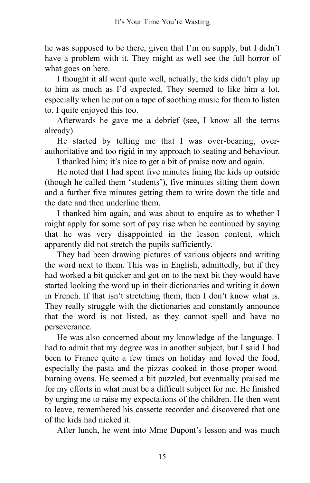he was supposed to be there, given that I'm on supply, but I didn't have a problem with it. They might as well see the full horror of what goes on here.

I thought it all went quite well, actually; the kids didn't play up to him as much as I'd expected. They seemed to like him a lot, especially when he put on a tape of soothing music for them to listen to. I quite enjoyed this too.

Afterwards he gave me a debrief (see, I know all the terms already).

He started by telling me that I was over-bearing, overauthoritative and too rigid in my approach to seating and behaviour.

I thanked him; it's nice to get a bit of praise now and again.

He noted that I had spent five minutes lining the kids up outside (though he called them 'students'), five minutes sitting them down and a further five minutes getting them to write down the title and the date and then underline them.

I thanked him again, and was about to enquire as to whether I might apply for some sort of pay rise when he continued by saying that he was very disappointed in the lesson content, which apparently did not stretch the pupils sufficiently.

They had been drawing pictures of various objects and writing the word next to them. This was in English, admittedly, but if they had worked a bit quicker and got on to the next bit they would have started looking the word up in their dictionaries and writing it down in French. If that isn't stretching them, then I don't know what is. They really struggle with the dictionaries and constantly announce that the word is not listed, as they cannot spell and have no perseverance.

He was also concerned about my knowledge of the language. I had to admit that my degree was in another subject, but I said I had been to France quite a few times on holiday and loved the food, especially the pasta and the pizzas cooked in those proper woodburning ovens. He seemed a bit puzzled, but eventually praised me for my efforts in what must be a difficult subject for me. He finished by urging me to raise my expectations of the children. He then went to leave, remembered his cassette recorder and discovered that one of the kids had nicked it.

After lunch, he went into Mme Dupont's lesson and was much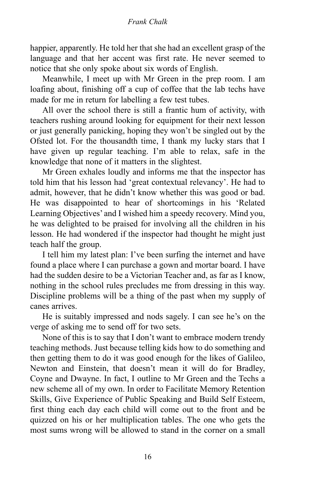happier, apparently. He told her that she had an excellent grasp of the language and that her accent was first rate. He never seemed to notice that she only spoke about six words of English.

Meanwhile, I meet up with Mr Green in the prep room. I am loafing about, finishing off a cup of coffee that the lab techs have made for me in return for labelling a few test tubes.

All over the school there is still a frantic hum of activity, with teachers rushing around looking for equipment for their next lesson or just generally panicking, hoping they won't be singled out by the Ofsted lot. For the thousandth time, I thank my lucky stars that I have given up regular teaching. I'm able to relax, safe in the knowledge that none of it matters in the slightest.

Mr Green exhales loudly and informs me that the inspector has told him that his lesson had 'great contextual relevancy'. He had to admit, however, that he didn't know whether this was good or bad. He was disappointed to hear of shortcomings in his 'Related Learning Objectives' and I wished him a speedy recovery. Mind you, he was delighted to be praised for involving all the children in his lesson. He had wondered if the inspector had thought he might just teach half the group.

I tell him my latest plan: I've been surfing the internet and have found a place where I can purchase a gown and mortar board. I have had the sudden desire to be a Victorian Teacher and, as far as I know, nothing in the school rules precludes me from dressing in this way. Discipline problems will be a thing of the past when my supply of canes arrives.

He is suitably impressed and nods sagely. I can see he's on the verge of asking me to send off for two sets.

None of this is to say that I don't want to embrace modern trendy teaching methods. Just because telling kids how to do something and then getting them to do it was good enough for the likes of Galileo, Newton and Einstein, that doesn't mean it will do for Bradley, Coyne and Dwayne. In fact, I outline to Mr Green and the Techs a new scheme all of my own. In order to Facilitate Memory Retention Skills, Give Experience of Public Speaking and Build Self Esteem, first thing each day each child will come out to the front and be quizzed on his or her multiplication tables. The one who gets the most sums wrong will be allowed to stand in the corner on a small